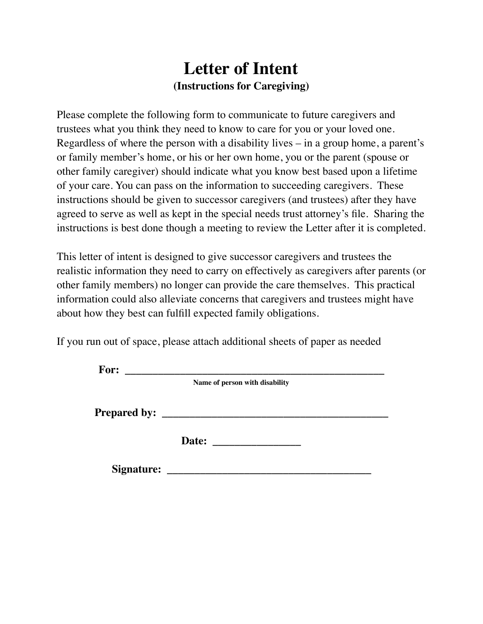# **Letter of Intent (Instructions for Caregiving)**

Please complete the following form to communicate to future caregivers and trustees what you think they need to know to care for you or your loved one. Regardless of where the person with a disability lives – in a group home, a parent's or family member's home, or his or her own home, you or the parent (spouse or other family caregiver) should indicate what you know best based upon a lifetime of your care. You can pass on the information to succeeding caregivers. These instructions should be given to successor caregivers (and trustees) after they have agreed to serve as well as kept in the special needs trust attorney's file. Sharing the instructions is best done though a meeting to review the Letter after it is completed.

This letter of intent is designed to give successor caregivers and trustees the realistic information they need to carry on effectively as caregivers after parents (or other family members) no longer can provide the care themselves. This practical information could also alleviate concerns that caregivers and trustees might have about how they best can fulfill expected family obligations.

If you run out of space, please attach additional sheets of paper as needed

| For:                |                                |
|---------------------|--------------------------------|
|                     | Name of person with disability |
|                     |                                |
| <b>Prepared by:</b> |                                |
|                     |                                |
|                     | Date:                          |
|                     |                                |
| <b>Signature:</b>   |                                |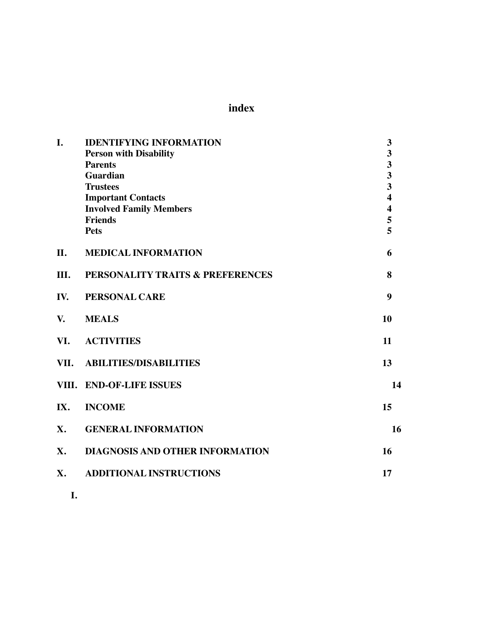**index**

| I.   | <b>IDENTIFYING INFORMATION</b>   | 3                       |
|------|----------------------------------|-------------------------|
|      | <b>Person with Disability</b>    | 3                       |
|      | <b>Parents</b>                   | $\overline{\mathbf{3}}$ |
|      | <b>Guardian</b>                  | $\overline{\mathbf{3}}$ |
|      | <b>Trustees</b>                  | $\overline{\mathbf{3}}$ |
|      | <b>Important Contacts</b>        | $\overline{\mathbf{4}}$ |
|      | <b>Involved Family Members</b>   | $\overline{\mathbf{4}}$ |
|      | <b>Friends</b>                   | 5                       |
|      | <b>Pets</b>                      | 5                       |
| II.  | <b>MEDICAL INFORMATION</b>       | 6                       |
| III. | PERSONALITY TRAITS & PREFERENCES | 8                       |
| IV.  | PERSONAL CARE                    | 9                       |
| V.   | <b>MEALS</b>                     | 10                      |
| VI.  | <b>ACTIVITIES</b>                | 11                      |
| VII. | <b>ABILITIES/DISABILITIES</b>    | 13                      |
|      | VIII. END-OF-LIFE ISSUES         | 14                      |
| IX.  | <b>INCOME</b>                    | 15                      |
| X.   | <b>GENERAL INFORMATION</b>       | 16                      |
| X.   | DIAGNOSIS AND OTHER INFORMATION  | 16                      |
| X.   | <b>ADDITIONAL INSTRUCTIONS</b>   | 17                      |
|      |                                  |                         |

**I.**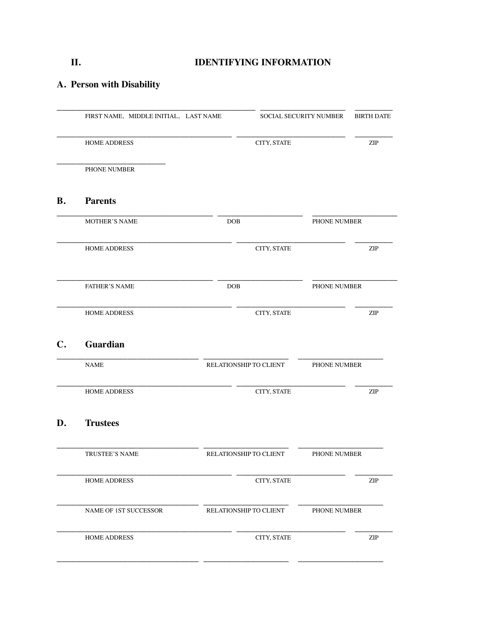# **II. IDENTIFYING INFORMATION**

# **A. Person with Disability**

|                | FIRST NAME, MIDDLE INITIAL, LAST NAME |                        | <b>SOCIAL SECURITY NUMBER</b> | <b>BIRTH DATE</b>           |
|----------------|---------------------------------------|------------------------|-------------------------------|-----------------------------|
|                | <b>HOME ADDRESS</b>                   | CITY, STATE            |                               | $\ensuremath{\mathrm{ZIP}}$ |
|                | PHONE NUMBER                          |                        |                               |                             |
| <b>B.</b>      | <b>Parents</b>                        |                        |                               |                             |
|                | <b>MOTHER'S NAME</b>                  | <b>DOB</b>             | PHONE NUMBER                  |                             |
|                | <b>HOME ADDRESS</b>                   | CITY, STATE            |                               | ZIP                         |
|                | <b>FATHER'S NAME</b>                  | <b>DOB</b>             | PHONE NUMBER                  |                             |
|                | <b>HOME ADDRESS</b>                   | CITY, STATE            |                               | $\ensuremath{\mathrm{ZIP}}$ |
| $\mathbf{C}$ . | Guardian                              |                        |                               |                             |
|                | <b>NAME</b>                           | RELATIONSHIP TO CLIENT | PHONE NUMBER                  |                             |
|                | <b>HOME ADDRESS</b>                   | CITY, STATE            |                               | ZIP                         |
| D.             | <b>Trustees</b>                       |                        |                               |                             |
|                | TRUSTEE'S NAME                        | RELATIONSHIP TO CLIENT | PHONE NUMBER                  |                             |
|                | HOME ADDRESS                          | CITY, STATE            |                               | $\ensuremath{\mathrm{ZIP}}$ |
|                | NAME OF 1ST SUCCESSOR                 | RELATIONSHIP TO CLIENT | PHONE NUMBER                  |                             |
|                | HOME ADDRESS                          | CITY, STATE            |                               | $\ensuremath{\mathrm{ZIP}}$ |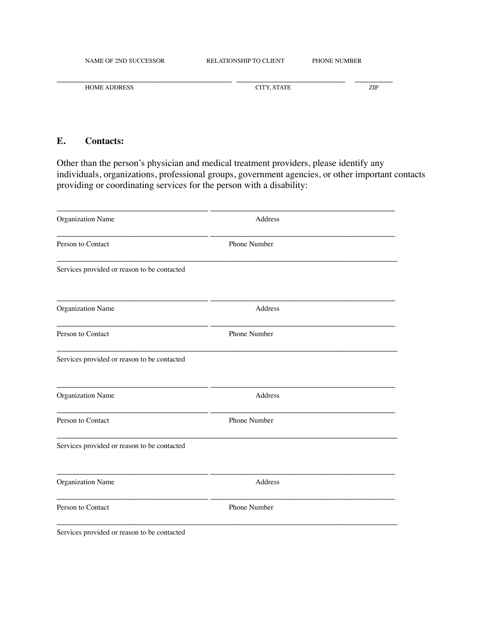| NAME OF 2ND SUCCESSOR | <b>RELATIONSHIP TO CLIENT</b> | <b>PHONE NUMBER</b> |  |
|-----------------------|-------------------------------|---------------------|--|
|                       |                               |                     |  |
| <b>HOME ADDRESS</b>   | CITY. STATE                   | ZIP                 |  |

#### **E. Contacts:**

Other than the person's physician and medical treatment providers, please identify any individuals, organizations, professional groups, government agencies, or other important contacts providing or coordinating services for the person with a disability:

| Organization Name                           | Address      |  |
|---------------------------------------------|--------------|--|
| Person to Contact                           | Phone Number |  |
| Services provided or reason to be contacted |              |  |
| <b>Organization Name</b>                    | Address      |  |
| Person to Contact                           | Phone Number |  |
| Services provided or reason to be contacted |              |  |
| Organization Name                           | Address      |  |
| Person to Contact                           | Phone Number |  |
| Services provided or reason to be contacted |              |  |
| <b>Organization Name</b>                    | Address      |  |
| Person to Contact                           | Phone Number |  |
| Services provided or reason to be contacted |              |  |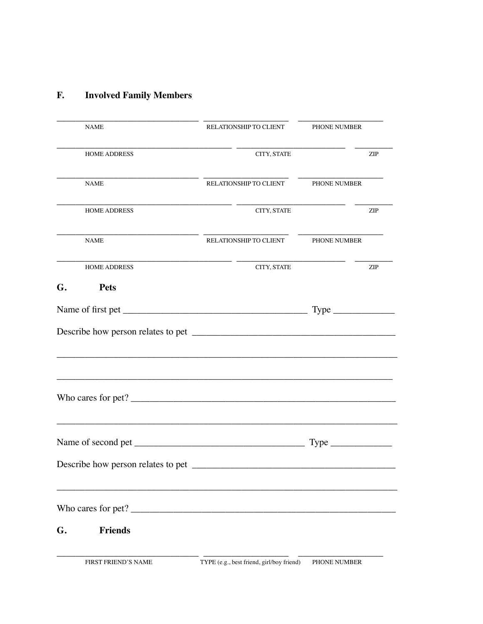#### **Involved Family Members**  ${\bf F}.$

| NAME                                                                                                                                                                                                                                                                                   | RELATIONSHIP TO CLIENT                    | <b>PHONE NUMBER</b> |            |
|----------------------------------------------------------------------------------------------------------------------------------------------------------------------------------------------------------------------------------------------------------------------------------------|-------------------------------------------|---------------------|------------|
| <b>HOME ADDRESS</b>                                                                                                                                                                                                                                                                    | CITY, STATE                               |                     | <b>ZIP</b> |
| NAME                                                                                                                                                                                                                                                                                   | RELATIONSHIP TO CLIENT PHONE NUMBER       |                     |            |
| <b>HOME ADDRESS</b>                                                                                                                                                                                                                                                                    | CITY, STATE                               |                     | <b>ZIP</b> |
| NAME                                                                                                                                                                                                                                                                                   | RELATIONSHIP TO CLIENT PHONE NUMBER       |                     |            |
| <b>HOME ADDRESS</b>                                                                                                                                                                                                                                                                    | CITY, STATE                               |                     | <b>ZIP</b> |
| G.<br><b>Pets</b>                                                                                                                                                                                                                                                                      |                                           |                     |            |
|                                                                                                                                                                                                                                                                                        |                                           |                     |            |
|                                                                                                                                                                                                                                                                                        |                                           |                     |            |
|                                                                                                                                                                                                                                                                                        |                                           |                     |            |
| Describe how person relates to pet                                                                                                                                                                                                                                                     |                                           |                     |            |
| Who cares for pet? $\frac{1}{2}$ [10] $\frac{1}{2}$ [10] $\frac{1}{2}$ [10] $\frac{1}{2}$ [10] $\frac{1}{2}$ [10] $\frac{1}{2}$ [10] $\frac{1}{2}$ [10] $\frac{1}{2}$ [10] $\frac{1}{2}$ [10] $\frac{1}{2}$ [10] $\frac{1}{2}$ [10] $\frac{1}{2}$ [10] $\frac{1}{2}$ [10] $\frac{1}{2$ |                                           |                     |            |
| <b>Friends</b><br>G.                                                                                                                                                                                                                                                                   |                                           |                     |            |
| <b>FIRST FRIEND'S NAME</b>                                                                                                                                                                                                                                                             | TYPE (e.g., best friend, girl/boy friend) | PHONE NUMBER        |            |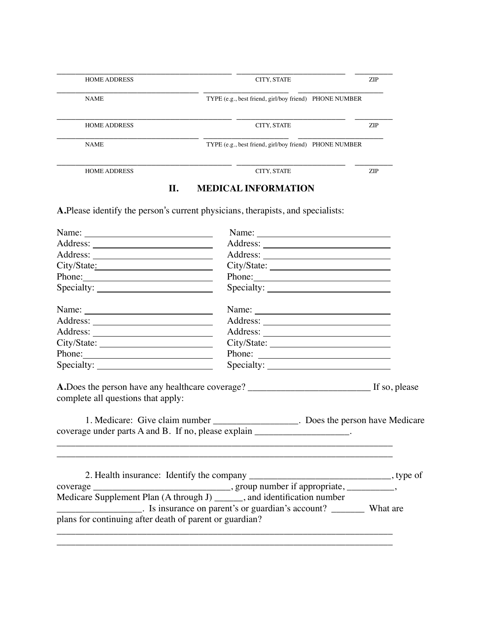| <b>HOME ADDRESS</b> | CITY, STATE                                            | <b>ZIP</b> |
|---------------------|--------------------------------------------------------|------------|
|                     |                                                        |            |
| <b>NAME</b>         | TYPE (e.g., best friend, girl/boy friend) PHONE NUMBER |            |
|                     |                                                        |            |
| <b>HOME ADDRESS</b> | CITY, STATE                                            | <b>ZIP</b> |
|                     |                                                        |            |
| <b>NAME</b>         | TYPE (e.g., best friend, girl/boy friend) PHONE NUMBER |            |
|                     |                                                        |            |
| <b>HOME ADDRESS</b> | CITY, STATE                                            | <b>ZIP</b> |

# **II. MEDICAL INFORMATION**

**A.**Please identify the person's current physicians, therapists, and specialists:

| Name: $\frac{1}{\sqrt{1-\frac{1}{2}}\sqrt{1-\frac{1}{2}}\sqrt{1-\frac{1}{2}}\sqrt{1-\frac{1}{2}}\sqrt{1-\frac{1}{2}}}}$                                                                                                              |                                                                                                                                                                                                                                                                                                                                                                                                                                            |  |
|--------------------------------------------------------------------------------------------------------------------------------------------------------------------------------------------------------------------------------------|--------------------------------------------------------------------------------------------------------------------------------------------------------------------------------------------------------------------------------------------------------------------------------------------------------------------------------------------------------------------------------------------------------------------------------------------|--|
|                                                                                                                                                                                                                                      |                                                                                                                                                                                                                                                                                                                                                                                                                                            |  |
|                                                                                                                                                                                                                                      |                                                                                                                                                                                                                                                                                                                                                                                                                                            |  |
| City/State:                                                                                                                                                                                                                          |                                                                                                                                                                                                                                                                                                                                                                                                                                            |  |
|                                                                                                                                                                                                                                      |                                                                                                                                                                                                                                                                                                                                                                                                                                            |  |
| Phone:                                                                                                                                                                                                                               |                                                                                                                                                                                                                                                                                                                                                                                                                                            |  |
| 1. Medicare: Give claim number __________________. Does the person have Medicare<br>coverage under parts A and B. If no, please explain ___________________.                                                                         |                                                                                                                                                                                                                                                                                                                                                                                                                                            |  |
| Medicare Supplement Plan (A through J) _______, and identification number<br>_______________________. Is insurance on parent's or guardian's account? __________ What are<br>plans for continuing after death of parent or guardian? |                                                                                                                                                                                                                                                                                                                                                                                                                                            |  |
| City/State:<br>Phone:                                                                                                                                                                                                                | Name:<br>Phone:<br>Name: $\frac{1}{\sqrt{1-\frac{1}{2}}\sqrt{1-\frac{1}{2}}\sqrt{1-\frac{1}{2}}\sqrt{1-\frac{1}{2}}\sqrt{1-\frac{1}{2}}\sqrt{1-\frac{1}{2}}\sqrt{1-\frac{1}{2}}\sqrt{1-\frac{1}{2}}\sqrt{1-\frac{1}{2}}\sqrt{1-\frac{1}{2}}\sqrt{1-\frac{1}{2}}\sqrt{1-\frac{1}{2}}\sqrt{1-\frac{1}{2}}\sqrt{1-\frac{1}{2}}\sqrt{1-\frac{1}{2}}\sqrt{1-\frac{1}{2}}\sqrt{1-\frac{1}{2}}\sqrt{1-\frac{1}{2}}\sqrt{1-\frac{1}{2}}$<br>Phone: |  |

\_\_\_\_\_\_\_\_\_\_\_\_\_\_\_\_\_\_\_\_\_\_\_\_\_\_\_\_\_\_\_\_\_\_\_\_\_\_\_\_\_\_\_\_\_\_\_\_\_\_\_\_\_\_\_\_\_\_\_\_\_\_\_\_\_\_\_\_\_\_\_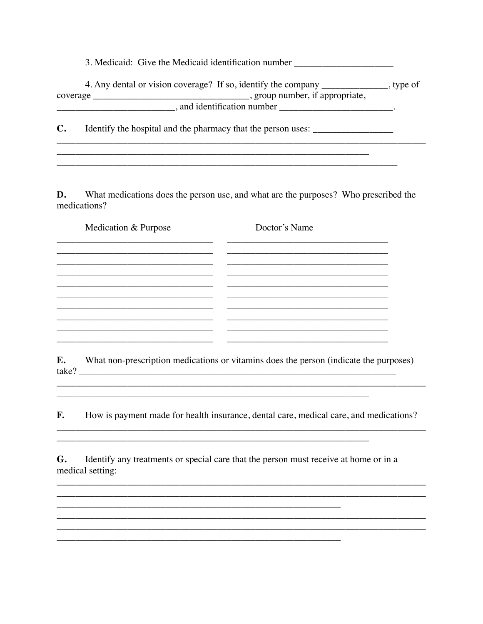3. Medicaid: Give the Medicaid identification number \_\_\_\_\_\_\_\_\_\_\_\_\_\_\_\_\_\_\_\_\_\_\_\_\_\_\_

|          | 4. Any dental or vision coverage? If so, identify the company | , type of |
|----------|---------------------------------------------------------------|-----------|
| coverage | , group number, if appropriate,                               |           |
|          | and identification number                                     |           |

Identify the hospital and the pharmacy that the person uses: \_\_\_\_\_\_\_\_\_\_\_\_\_\_\_\_\_\_\_  $\mathbf{C}$ .

D. What medications does the person use, and what are the purposes? Who prescribed the medications?

| Medication & Purpose | Doctor's Name |
|----------------------|---------------|
|                      |               |
|                      |               |
|                      |               |
|                      |               |
|                      |               |
|                      |               |

What non-prescription medications or vitamins does the person (indicate the purposes) E. take?

<u> 1989 - Johann John Stone, markin sanat masjid asl a shekara ta 1989 - An tsarat masjid asl a shekara ta 198</u>

**F.** How is payment made for health insurance, dental care, medical care, and medications?

Identify any treatments or special care that the person must receive at home or in a G. medical setting:

<u> 1989 - Jan James James, margaret amerikan bahasa (j. 1989).</u>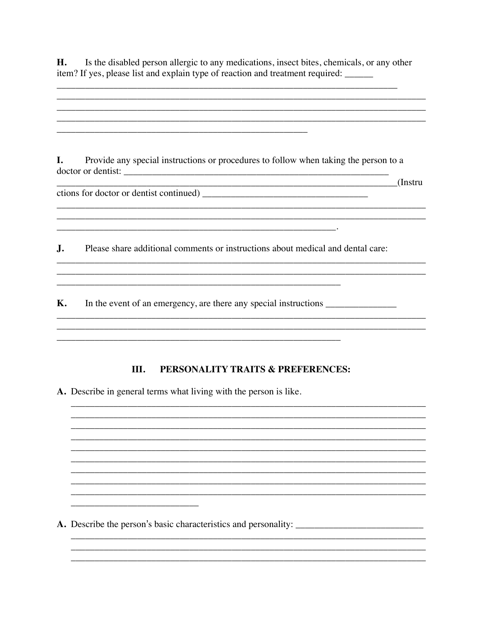H. Is the disabled person allergic to any medications, insect bites, chemicals, or any other item? If yes, please list and explain type of reaction and treatment required: \_\_\_\_\_\_

and the control of the control of the control of the control of the control of the control of the control of the

and the control of the control of the control of the control of the control of the control of the control of the

I. Provide any special instructions or procedures to follow when taking the person to a <u>and the set of the set of the set of the set of the set of the set of the set of the set of the set of the set of the set of the set of the set of the set of the set of the set of the set of the set of the set of the set </u>

 $\mathbf{J}$ . Please share additional comments or instructions about medical and dental care:

<u> 1989 - Johann John Stone, mars et al. (1989)</u>

**K.** In the event of an emergency, are there any special instructions \_\_\_\_\_\_\_\_\_\_\_\_\_\_\_

#### III. PERSONALITY TRAITS & PREFERENCES:

and the control of the control of the control of the control of the control of the control of the control of the

A. Describe in general terms what living with the person is like.

<u> 1980 - Jan Stein Harry Harry Harry Harry Harry Harry Harry Harry Harry Harry Harry Harry Harry Harry Harry</u>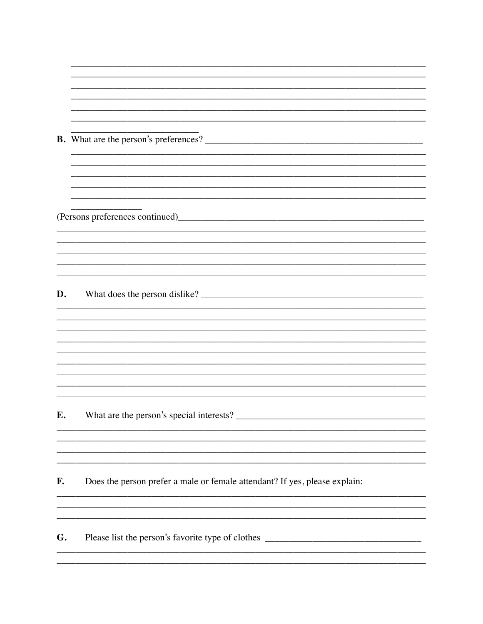| D. |                                                                            |
|----|----------------------------------------------------------------------------|
|    |                                                                            |
|    |                                                                            |
|    |                                                                            |
|    |                                                                            |
|    |                                                                            |
|    |                                                                            |
|    |                                                                            |
|    |                                                                            |
|    |                                                                            |
| Е. |                                                                            |
|    |                                                                            |
|    |                                                                            |
|    |                                                                            |
|    |                                                                            |
|    |                                                                            |
| F. | Does the person prefer a male or female attendant? If yes, please explain: |
|    |                                                                            |
|    |                                                                            |
|    |                                                                            |

<u> Tanzania (h. 1878).</u><br>Demografia

 $\overline{\phantom{a}}$ 

Please list the person's favorite type of clothes \_\_\_\_\_\_\_\_\_\_\_\_\_\_\_\_\_\_\_\_\_\_\_\_\_\_\_\_\_\_ G.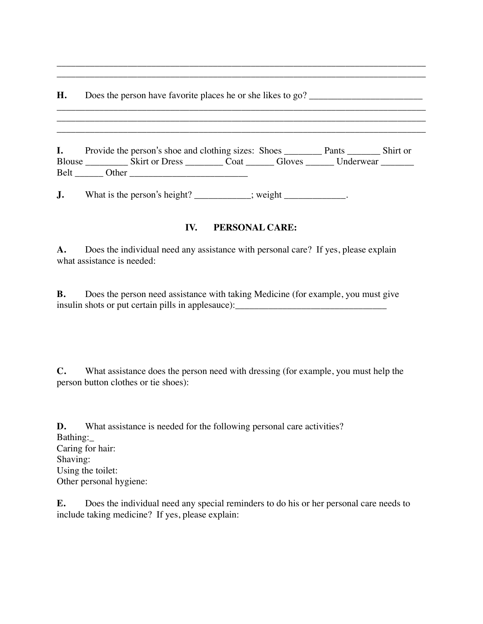**H.** Does the person have favorite places he or she likes to go? \_\_\_\_\_\_\_\_\_\_\_\_\_\_\_\_\_\_\_\_\_\_\_\_

| I.            |         |                | Provide the person's shoe and clothing sizes: Shoes |        | Pants     | Shirt or |
|---------------|---------|----------------|-----------------------------------------------------|--------|-----------|----------|
| <b>Blouse</b> |         | Skirt or Dress | Coat                                                | Gloves | Underwear |          |
| <b>Belt</b>   | . Ither |                |                                                     |        |           |          |

\_\_\_\_\_\_\_\_\_\_\_\_\_\_\_\_\_\_\_\_\_\_\_\_\_\_\_\_\_\_\_\_\_\_\_\_\_\_\_\_\_\_\_\_\_\_\_\_\_\_\_\_\_\_\_\_\_\_\_\_\_\_\_\_\_\_\_\_\_\_\_\_\_\_\_\_\_\_ \_\_\_\_\_\_\_\_\_\_\_\_\_\_\_\_\_\_\_\_\_\_\_\_\_\_\_\_\_\_\_\_\_\_\_\_\_\_\_\_\_\_\_\_\_\_\_\_\_\_\_\_\_\_\_\_\_\_\_\_\_\_\_\_\_\_\_\_\_\_\_\_\_\_\_\_\_\_

\_\_\_\_\_\_\_\_\_\_\_\_\_\_\_\_\_\_\_\_\_\_\_\_\_\_\_\_\_\_\_\_\_\_\_\_\_\_\_\_\_\_\_\_\_\_\_\_\_\_\_\_\_\_\_\_\_\_\_\_\_\_\_\_\_\_\_\_\_\_\_\_\_\_\_\_\_\_ \_\_\_\_\_\_\_\_\_\_\_\_\_\_\_\_\_\_\_\_\_\_\_\_\_\_\_\_\_\_\_\_\_\_\_\_\_\_\_\_\_\_\_\_\_\_\_\_\_\_\_\_\_\_\_\_\_\_\_\_\_\_\_\_\_\_\_\_\_\_\_\_\_\_\_\_\_\_

 $\mathcal{L}_\text{max} = \frac{1}{2} \sum_{i=1}^n \mathcal{L}_\text{max} \left[ \mathcal{L}_\text{max} \left( \frac{1}{2} \right) \mathcal{L}_\text{max} \left( \frac{1}{2} \right) \mathcal{L}_\text{max} \left( \frac{1}{2} \right) \mathcal{L}_\text{max} \left( \frac{1}{2} \right) \mathcal{L}_\text{max} \left( \frac{1}{2} \right) \mathcal{L}_\text{max} \left( \frac{1}{2} \right) \mathcal{L}_\text{max} \left( \frac{1}{2} \right) \mathcal{L}_\text{max$ 

**J.** What is the person's height? \_\_\_\_\_\_\_\_\_; weight \_\_\_\_\_\_\_\_\_\_\_.

# **IV. PERSONAL CARE:**

**A.** Does the individual need any assistance with personal care? If yes, please explain what assistance is needed:

**B.** Does the person need assistance with taking Medicine (for example, you must give insulin shots or put certain pills in applesauce):

**C.** What assistance does the person need with dressing (for example, you must help the person button clothes or tie shoes):

**D.** What assistance is needed for the following personal care activities? Bathing:\_ Caring for hair: Shaving: Using the toilet: Other personal hygiene:

**E.** Does the individual need any special reminders to do his or her personal care needs to include taking medicine? If yes, please explain: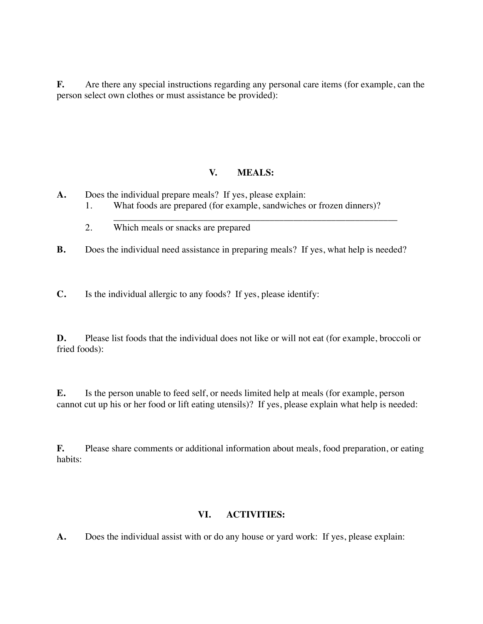**F.** Are there any special instructions regarding any personal care items (for example, can the person select own clothes or must assistance be provided):

## **V. MEALS:**

- **A.** Does the individual prepare meals? If yes, please explain:
	- 1. What foods are prepared (for example, sandwiches or frozen dinners)?
	- \_\_\_\_\_\_\_\_\_\_\_\_\_\_\_\_\_\_\_\_\_\_\_\_\_\_\_\_\_\_\_\_\_\_\_\_\_\_\_\_\_\_\_\_\_\_\_\_\_\_\_\_\_\_\_\_\_\_\_\_ 2. Which meals or snacks are prepared
- **B.** Does the individual need assistance in preparing meals? If yes, what help is needed?

**C.** Is the individual allergic to any foods? If yes, please identify:

**D.** Please list foods that the individual does not like or will not eat (for example, broccoli or fried foods):

**E.** Is the person unable to feed self, or needs limited help at meals (for example, person cannot cut up his or her food or lift eating utensils)? If yes, please explain what help is needed:

**F.** Please share comments or additional information about meals, food preparation, or eating habits:

#### **VI. ACTIVITIES:**

**A.** Does the individual assist with or do any house or yard work: If yes, please explain: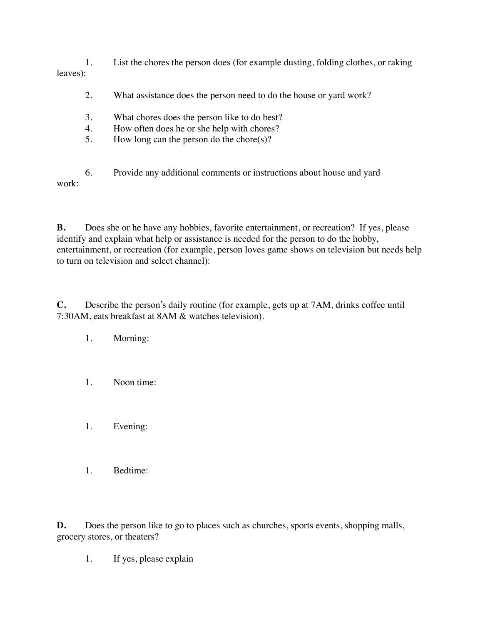1. List the chores the person does (for example dusting, folding clothes, or raking leaves):

- 2. What assistance does the person need to do the house or yard work?
- 3. What chores does the person like to do best?
- 4. How often does he or she help with chores?
- 5. How long can the person do the chore(s)?

6. Provide any additional comments or instructions about house and yard work:

**B.** Does she or he have any hobbies, favorite entertainment, or recreation? If yes, please identify and explain what help or assistance is needed for the person to do the hobby, entertainment, or recreation (for example, person loves game shows on television but needs help to turn on television and select channel):

**C.** Describe the person's daily routine (for example, gets up at 7AM, drinks coffee until 7:30AM, eats breakfast at 8AM & watches television).

- 1. Morning:
- 1. Noon time:
- 1. Evening:
- 1. Bedtime:

**D.** Does the person like to go to places such as churches, sports events, shopping malls, grocery stores, or theaters?

1. If yes, please explain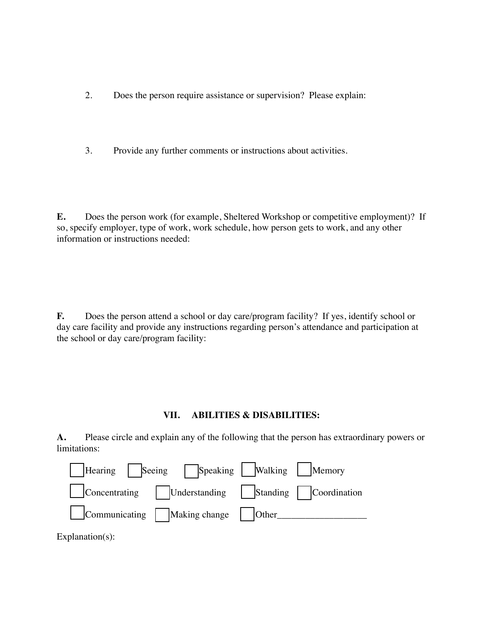- 2. Does the person require assistance or supervision? Please explain:
- 3. Provide any further comments or instructions about activities.

**E.** Does the person work (for example, Sheltered Workshop or competitive employment)? If so, specify employer, type of work, work schedule, how person gets to work, and any other information or instructions needed:

**F.** Does the person attend a school or day care/program facility? If yes, identify school or day care facility and provide any instructions regarding person's attendance and participation at the school or day care/program facility:

## **VII. ABILITIES & DISABILITIES:**

**A.** Please circle and explain any of the following that the person has extraordinary powers or limitations:



Explanation(s):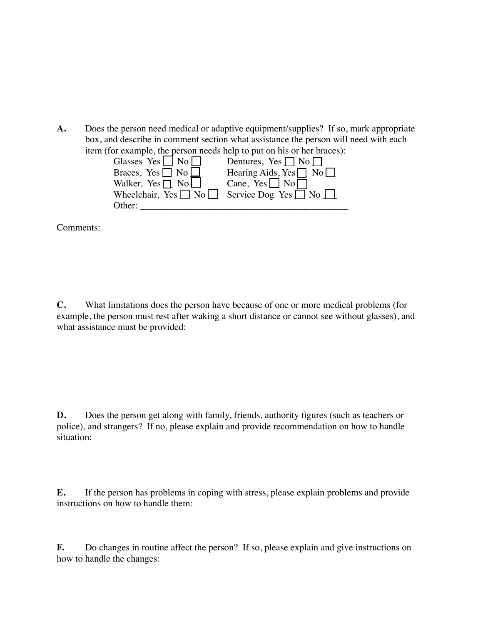**A.** Does the person need medical or adaptive equipment/supplies? If so, mark appropriate box, and describe in comment section what assistance the person will need with each item (for example, the person needs help to put on his or her braces):

| Glasses Yes $\Box$ No $\Box$ | Dentures, Yes $\Box$ No $\Box$                                    |
|------------------------------|-------------------------------------------------------------------|
| Braces, Yes $\Box$ No $\Box$ | Hearing Aids, $Yes \nightharpoonup No \nightharpoonup$            |
| Walker, Yes $\Box$ No        | Cane, Yes $\Box$ No $\Box$                                        |
|                              | Wheelchair, Yes $\Box$ No $\Box$ Service Dog Yes $\Box$ No $\Box$ |
| Other:                       |                                                                   |

Comments:

**C.** What limitations does the person have because of one or more medical problems (for example, the person must rest after waking a short distance or cannot see without glasses), and what assistance must be provided:

**D.** Does the person get along with family, friends, authority figures (such as teachers or police), and strangers? If no, please explain and provide recommendation on how to handle situation:

**E.** If the person has problems in coping with stress, please explain problems and provide instructions on how to handle them:

**F.** Do changes in routine affect the person? If so, please explain and give instructions on how to handle the changes: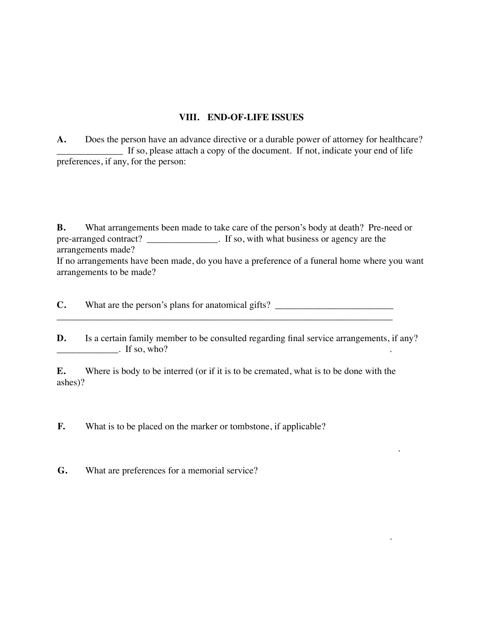## **VIII. END-OF-LIFE ISSUES**

**A.** Does the person have an advance directive or a durable power of attorney for healthcare? \_\_\_\_\_\_\_\_\_\_\_\_\_\_ If so, please attach a copy of the document. If not, indicate your end of life preferences, if any, for the person:

**B.** What arrangements been made to take care of the person's body at death? Pre-need or pre-arranged contract? \_\_\_\_\_\_\_\_\_\_\_\_\_\_\_. If so, with what business or agency are the arrangements made?

If no arrangements have been made, do you have a preference of a funeral home where you want arrangements to be made?

**C.** What are the person's plans for anatomical gifts? \_\_\_\_\_\_\_\_\_\_\_\_\_\_\_\_\_\_\_\_\_\_\_\_\_\_ \_\_\_\_\_\_\_\_\_\_\_\_\_\_\_\_\_\_\_\_\_\_\_\_\_\_\_\_\_\_\_\_\_\_\_\_\_\_\_\_\_\_\_\_\_\_\_\_\_\_\_\_\_\_\_\_\_\_\_\_\_\_\_\_\_\_\_\_\_\_\_

**D.** Is a certain family member to be consulted regarding final service arrangements, if any?  $\blacksquare$  If so, who?

.

.

**E.** Where is body to be interred (or if it is to be cremated, what is to be done with the ashes)?

**F.** What is to be placed on the marker or tombstone, if applicable?

**G.** What are preferences for a memorial service?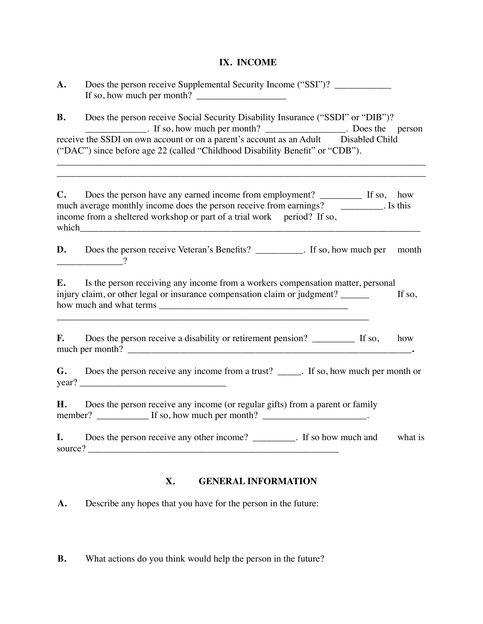# **IX. INCOME**

| A.                                                                                                                                                                                                                                                                   | Does the person receive Supplemental Security Income ("SSI")? ___________________<br>If so, how much per month? $\frac{1}{2}$                                                                                                                                                                                                                                                                       |  |
|----------------------------------------------------------------------------------------------------------------------------------------------------------------------------------------------------------------------------------------------------------------------|-----------------------------------------------------------------------------------------------------------------------------------------------------------------------------------------------------------------------------------------------------------------------------------------------------------------------------------------------------------------------------------------------------|--|
| Does the person receive Social Security Disability Insurance ("SSDI" or "DIB")?<br><b>B.</b><br>receive the SSDI on own account or on a parent's account as an Adult Disabled Child<br>("DAC") since before age 22 (called "Childhood Disability Benefit" or "CDB"). |                                                                                                                                                                                                                                                                                                                                                                                                     |  |
| $\mathbf{C}$ .                                                                                                                                                                                                                                                       | much average monthly income does the person receive from earnings? __________. Is this<br>income from a sheltered workshop or part of a trial work period? If so,<br>which which will be a state of the state of the state of the state of the state of the state of the state of the state of the state of the state of the state of the state of the state of the state of the state of the state |  |
| D.                                                                                                                                                                                                                                                                   | Does the person receive Veteran's Benefits? _________. If so, how much per month                                                                                                                                                                                                                                                                                                                    |  |
| E.                                                                                                                                                                                                                                                                   | Is the person receiving any income from a workers compensation matter, personal<br>injury claim, or other legal or insurance compensation claim or judgment?<br>If so,                                                                                                                                                                                                                              |  |
| <b>F.</b>                                                                                                                                                                                                                                                            | Does the person receive a disability or retirement pension? ___________ If so,<br>how                                                                                                                                                                                                                                                                                                               |  |
|                                                                                                                                                                                                                                                                      | <b>G.</b> Does the person receive any income from a trust? _____. If so, how much per month or<br>year?                                                                                                                                                                                                                                                                                             |  |
| Н.                                                                                                                                                                                                                                                                   | Does the person receive any income (or regular gifts) from a parent or family<br>member? $\frac{1}{\sqrt{1-\frac{1}{2}}}\$ If so, how much per month? $\frac{1}{\sqrt{1-\frac{1}{2}}}\$ .                                                                                                                                                                                                           |  |
| I.                                                                                                                                                                                                                                                                   | Does the person receive any other income? _________. If so how much and<br>what is                                                                                                                                                                                                                                                                                                                  |  |

# **X. GENERAL INFORMATION**

**A.** Describe any hopes that you have for the person in the future:

**B.** What actions do you think would help the person in the future?